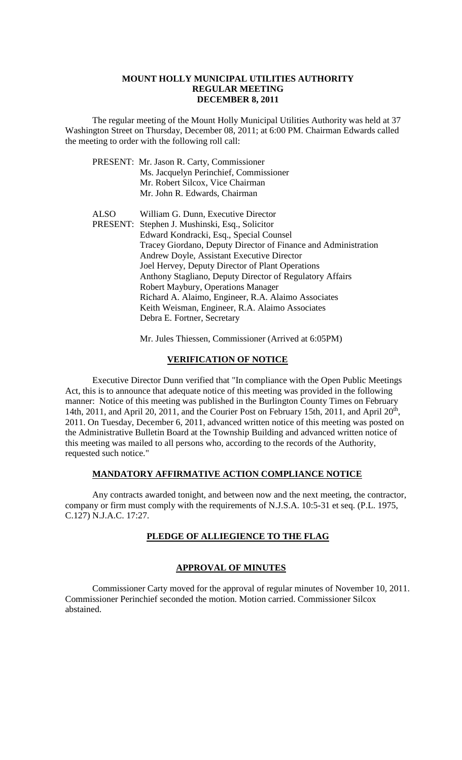#### **MOUNT HOLLY MUNICIPAL UTILITIES AUTHORITY REGULAR MEETING DECEMBER 8, 2011**

The regular meeting of the Mount Holly Municipal Utilities Authority was held at 37 Washington Street on Thursday, December 08, 2011; at 6:00 PM. Chairman Edwards called the meeting to order with the following roll call:

|      | PRESENT: Mr. Jason R. Carty, Commissioner                      |
|------|----------------------------------------------------------------|
|      | Ms. Jacquelyn Perinchief, Commissioner                         |
|      | Mr. Robert Silcox, Vice Chairman                               |
|      | Mr. John R. Edwards, Chairman                                  |
| ALSO | William G. Dunn, Executive Director                            |
|      | PRESENT: Stephen J. Mushinski, Esq., Solicitor                 |
|      | Edward Kondracki, Esq., Special Counsel                        |
|      | Tracey Giordano, Deputy Director of Finance and Administration |
|      | Andrew Doyle, Assistant Executive Director                     |
|      | Joel Hervey, Deputy Director of Plant Operations               |
|      | Anthony Stagliano, Deputy Director of Regulatory Affairs       |
|      | Robert Maybury, Operations Manager                             |
|      | Richard A. Alaimo, Engineer, R.A. Alaimo Associates            |
|      | Keith Weisman, Engineer, R.A. Alaimo Associates                |
|      | Debra E. Fortner, Secretary                                    |
|      |                                                                |

Mr. Jules Thiessen, Commissioner (Arrived at 6:05PM)

#### **VERIFICATION OF NOTICE**

Executive Director Dunn verified that "In compliance with the Open Public Meetings Act, this is to announce that adequate notice of this meeting was provided in the following manner: Notice of this meeting was published in the Burlington County Times on February 14th, 2011, and April 20, 2011, and the Courier Post on February 15th, 2011, and April  $20<sup>th</sup>$ , 2011. On Tuesday, December 6, 2011, advanced written notice of this meeting was posted on the Administrative Bulletin Board at the Township Building and advanced written notice of this meeting was mailed to all persons who, according to the records of the Authority, requested such notice."

### **MANDATORY AFFIRMATIVE ACTION COMPLIANCE NOTICE**

Any contracts awarded tonight, and between now and the next meeting, the contractor, company or firm must comply with the requirements of N.J.S.A. 10:5-31 et seq. (P.L. 1975, C.127) N.J.A.C. 17:27.

# **PLEDGE OF ALLIEGIENCE TO THE FLAG**

# **APPROVAL OF MINUTES**

Commissioner Carty moved for the approval of regular minutes of November 10, 2011. Commissioner Perinchief seconded the motion. Motion carried. Commissioner Silcox abstained.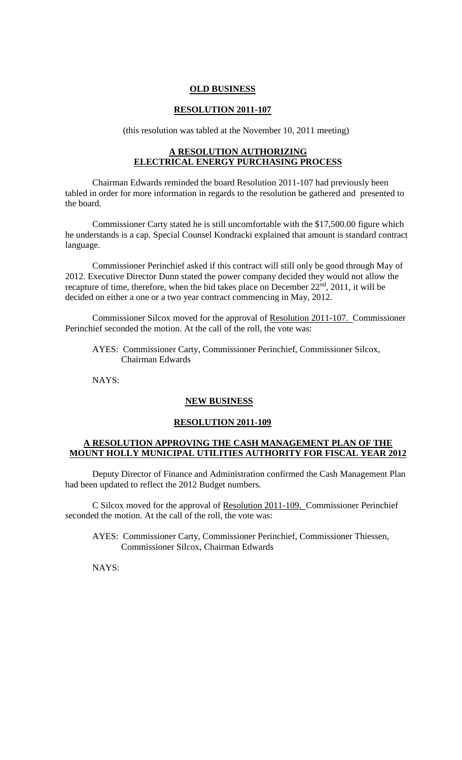#### **OLD BUSINESS**

#### **RESOLUTION 2011-107**

(this resolution was tabled at the November 10, 2011 meeting)

# **A RESOLUTION AUTHORIZING ELECTRICAL ENERGY PURCHASING PROCESS**

Chairman Edwards reminded the board Resolution 2011-107 had previously been tabled in order for more information in regards to the resolution be gathered and presented to the board.

Commissioner Carty stated he is still uncomfortable with the \$17,500.00 figure which he understands is a cap. Special Counsel Kondracki explained that amount is standard contract language.

Commissioner Perinchief asked if this contract will still only be good through May of 2012. Executive Director Dunn stated the power company decided they would not allow the recapture of time, therefore, when the bid takes place on December 22<sup>nd</sup>, 2011, it will be decided on either a one or a two year contract commencing in May, 2012.

Commissioner Silcox moved for the approval of Resolution 2011-107. Commissioner Perinchief seconded the motion. At the call of the roll, the vote was:

AYES: Commissioner Carty, Commissioner Perinchief, Commissioner Silcox, Chairman Edwards

NAYS:

# **NEW BUSINESS**

#### **RESOLUTION 2011-109**

#### **A RESOLUTION APPROVING THE CASH MANAGEMENT PLAN OF THE MOUNT HOLLY MUNICIPAL UTILITIES AUTHORITY FOR FISCAL YEAR 2012**

Deputy Director of Finance and Administration confirmed the Cash Management Plan had been updated to reflect the 2012 Budget numbers.

C Silcox moved for the approval of Resolution 2011-109. Commissioner Perinchief seconded the motion. At the call of the roll, the vote was:

AYES: Commissioner Carty, Commissioner Perinchief, Commissioner Thiessen, Commissioner Silcox, Chairman Edwards

NAYS: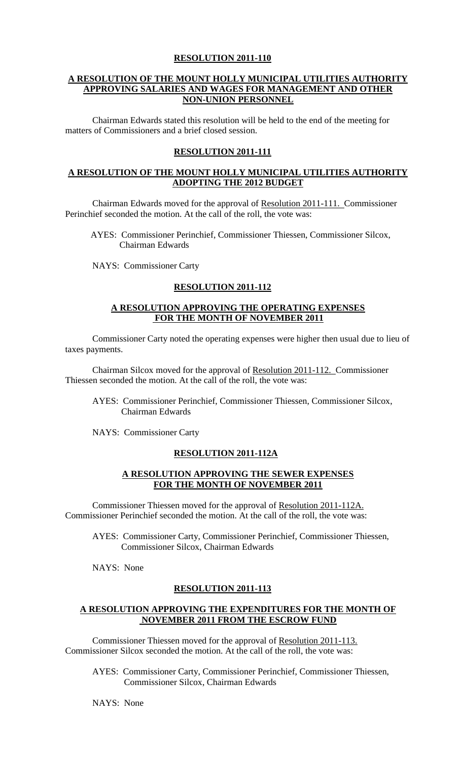# **A RESOLUTION OF THE MOUNT HOLLY MUNICIPAL UTILITIES AUTHORITY APPROVING SALARIES AND WAGES FOR MANAGEMENT AND OTHER NON-UNION PERSONNEL**

Chairman Edwards stated this resolution will be held to the end of the meeting for matters of Commissioners and a brief closed session.

# **RESOLUTION 2011-111**

# **A RESOLUTION OF THE MOUNT HOLLY MUNICIPAL UTILITIES AUTHORITY ADOPTING THE 2012 BUDGET**

Chairman Edwards moved for the approval of Resolution 2011-111. Commissioner Perinchief seconded the motion. At the call of the roll, the vote was:

AYES: Commissioner Perinchief, Commissioner Thiessen, Commissioner Silcox, Chairman Edwards

NAYS: Commissioner Carty

# **RESOLUTION 2011-112**

# **A RESOLUTION APPROVING THE OPERATING EXPENSES FOR THE MONTH OF NOVEMBER 2011**

Commissioner Carty noted the operating expenses were higher then usual due to lieu of taxes payments.

Chairman Silcox moved for the approval of Resolution 2011-112. Commissioner Thiessen seconded the motion. At the call of the roll, the vote was:

AYES: Commissioner Perinchief, Commissioner Thiessen, Commissioner Silcox, Chairman Edwards

NAYS: Commissioner Carty

#### **RESOLUTION 2011-112A**

### **A RESOLUTION APPROVING THE SEWER EXPENSES FOR THE MONTH OF NOVEMBER 2011**

Commissioner Thiessen moved for the approval of Resolution 2011-112A. Commissioner Perinchief seconded the motion. At the call of the roll, the vote was:

AYES: Commissioner Carty, Commissioner Perinchief, Commissioner Thiessen, Commissioner Silcox, Chairman Edwards

NAYS: None

# **RESOLUTION 2011-113**

#### **A RESOLUTION APPROVING THE EXPENDITURES FOR THE MONTH OF NOVEMBER 2011 FROM THE ESCROW FUND**

Commissioner Thiessen moved for the approval of Resolution 2011-113. Commissioner Silcox seconded the motion. At the call of the roll, the vote was:

AYES: Commissioner Carty, Commissioner Perinchief, Commissioner Thiessen, Commissioner Silcox, Chairman Edwards

NAYS: None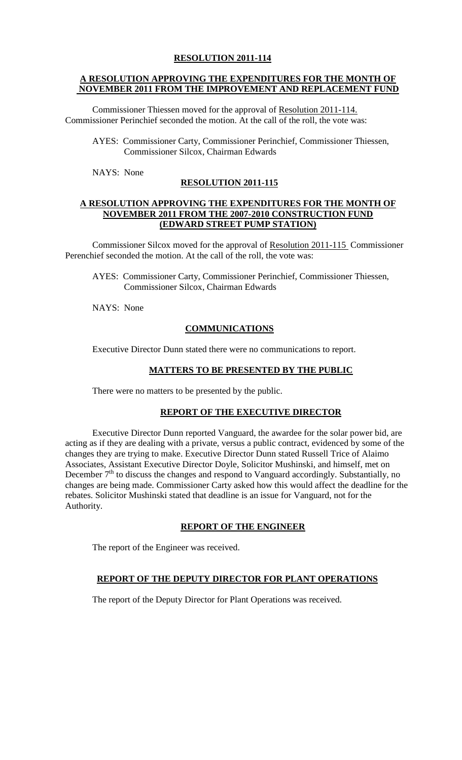# **A RESOLUTION APPROVING THE EXPENDITURES FOR THE MONTH OF NOVEMBER 2011 FROM THE IMPROVEMENT AND REPLACEMENT FUND**

Commissioner Thiessen moved for the approval of Resolution 2011-114. Commissioner Perinchief seconded the motion. At the call of the roll, the vote was:

AYES: Commissioner Carty, Commissioner Perinchief, Commissioner Thiessen, Commissioner Silcox, Chairman Edwards

NAYS: None

# **RESOLUTION 2011-115**

### **A RESOLUTION APPROVING THE EXPENDITURES FOR THE MONTH OF NOVEMBER 2011 FROM THE 2007-2010 CONSTRUCTION FUND (EDWARD STREET PUMP STATION)**

Commissioner Silcox moved for the approval of Resolution 2011-115 Commissioner Perenchief seconded the motion. At the call of the roll, the vote was:

AYES: Commissioner Carty, Commissioner Perinchief, Commissioner Thiessen, Commissioner Silcox, Chairman Edwards

NAYS: None

# **COMMUNICATIONS**

Executive Director Dunn stated there were no communications to report.

#### **MATTERS TO BE PRESENTED BY THE PUBLIC**

There were no matters to be presented by the public.

# **REPORT OF THE EXECUTIVE DIRECTOR**

Executive Director Dunn reported Vanguard, the awardee for the solar power bid, are acting as if they are dealing with a private, versus a public contract, evidenced by some of the changes they are trying to make. Executive Director Dunn stated Russell Trice of Alaimo Associates, Assistant Executive Director Doyle, Solicitor Mushinski, and himself, met on December 7<sup>th</sup> to discuss the changes and respond to Vanguard accordingly. Substantially, no changes are being made. Commissioner Carty asked how this would affect the deadline for the rebates. Solicitor Mushinski stated that deadline is an issue for Vanguard, not for the Authority.

# **REPORT OF THE ENGINEER**

The report of the Engineer was received.

# **REPORT OF THE DEPUTY DIRECTOR FOR PLANT OPERATIONS**

The report of the Deputy Director for Plant Operations was received.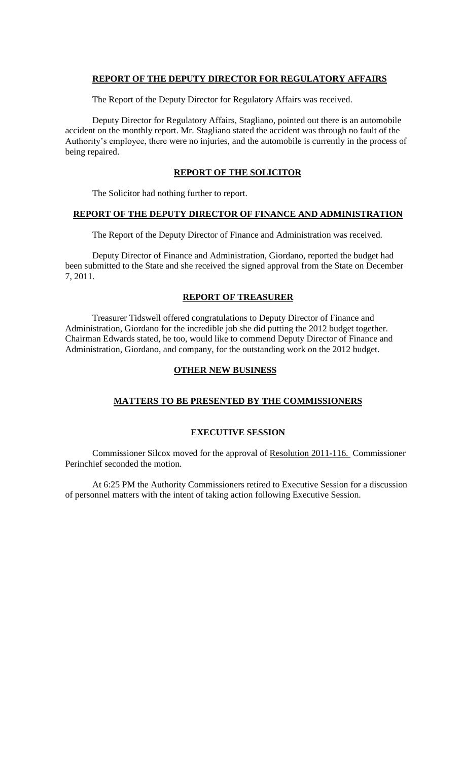### **REPORT OF THE DEPUTY DIRECTOR FOR REGULATORY AFFAIRS**

The Report of the Deputy Director for Regulatory Affairs was received.

Deputy Director for Regulatory Affairs, Stagliano, pointed out there is an automobile accident on the monthly report. Mr. Stagliano stated the accident was through no fault of the Authority's employee, there were no injuries, and the automobile is currently in the process of being repaired.

#### **REPORT OF THE SOLICITOR**

The Solicitor had nothing further to report.

# **REPORT OF THE DEPUTY DIRECTOR OF FINANCE AND ADMINISTRATION**

The Report of the Deputy Director of Finance and Administration was received.

Deputy Director of Finance and Administration, Giordano, reported the budget had been submitted to the State and she received the signed approval from the State on December 7, 2011.

#### **REPORT OF TREASURER**

Treasurer Tidswell offered congratulations to Deputy Director of Finance and Administration, Giordano for the incredible job she did putting the 2012 budget together. Chairman Edwards stated, he too, would like to commend Deputy Director of Finance and Administration, Giordano, and company, for the outstanding work on the 2012 budget.

#### **OTHER NEW BUSINESS**

# **MATTERS TO BE PRESENTED BY THE COMMISSIONERS**

#### **EXECUTIVE SESSION**

Commissioner Silcox moved for the approval of Resolution 2011-116. Commissioner Perinchief seconded the motion.

At 6:25 PM the Authority Commissioners retired to Executive Session for a discussion of personnel matters with the intent of taking action following Executive Session.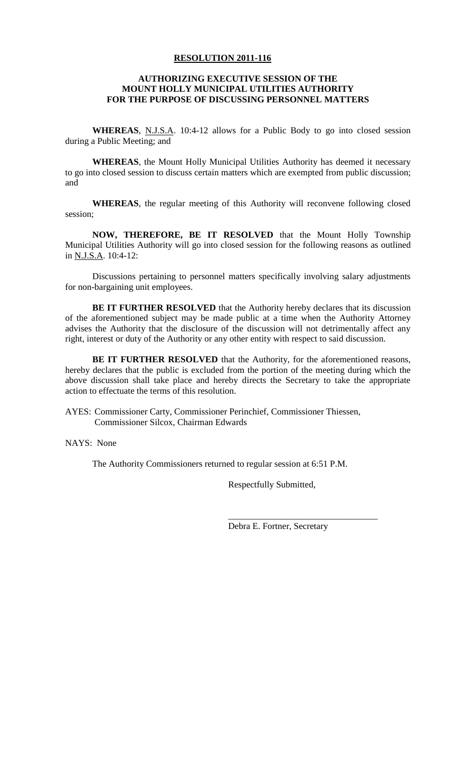#### **AUTHORIZING EXECUTIVE SESSION OF THE MOUNT HOLLY MUNICIPAL UTILITIES AUTHORITY FOR THE PURPOSE OF DISCUSSING PERSONNEL MATTERS**

**WHEREAS**, N.J.S.A. 10:4-12 allows for a Public Body to go into closed session during a Public Meeting; and

**WHEREAS**, the Mount Holly Municipal Utilities Authority has deemed it necessary to go into closed session to discuss certain matters which are exempted from public discussion; and

**WHEREAS**, the regular meeting of this Authority will reconvene following closed session;

**NOW, THEREFORE, BE IT RESOLVED** that the Mount Holly Township Municipal Utilities Authority will go into closed session for the following reasons as outlined in N.J.S.A. 10:4-12:

Discussions pertaining to personnel matters specifically involving salary adjustments for non-bargaining unit employees.

**BE IT FURTHER RESOLVED** that the Authority hereby declares that its discussion of the aforementioned subject may be made public at a time when the Authority Attorney advises the Authority that the disclosure of the discussion will not detrimentally affect any right, interest or duty of the Authority or any other entity with respect to said discussion.

**BE IT FURTHER RESOLVED** that the Authority, for the aforementioned reasons, hereby declares that the public is excluded from the portion of the meeting during which the above discussion shall take place and hereby directs the Secretary to take the appropriate action to effectuate the terms of this resolution.

AYES: Commissioner Carty, Commissioner Perinchief, Commissioner Thiessen, Commissioner Silcox, Chairman Edwards

NAYS: None

The Authority Commissioners returned to regular session at 6:51 P.M.

Respectfully Submitted,

Debra E. Fortner, Secretary

\_\_\_\_\_\_\_\_\_\_\_\_\_\_\_\_\_\_\_\_\_\_\_\_\_\_\_\_\_\_\_\_\_